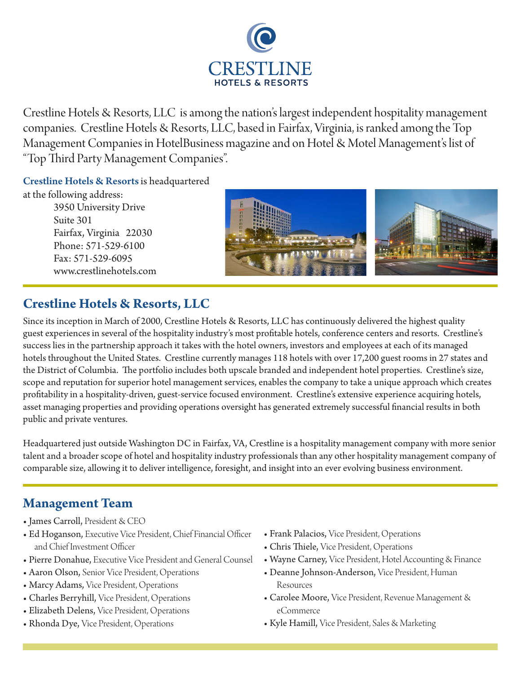

Crestline Hotels & Resorts, LLC is among the nation's largest independent hospitality management companies. Crestline Hotels & Resorts, LLC, based in Fairfax, Virginia, is ranked among the Top Management Companies in HotelBusiness magazine and on Hotel & Motel Management's list of "Top Third Party Management Companies".

Crestline Hotels & Resorts is headquartered

at the following address: 3950 University Drive Suite 301 Fairfax, Virginia 22030 Phone: 571-529-6100 Fax: 571-529-6095 www.crestlinehotels.com



# **Crestline Hotels & Resorts, LLC**

Since its inception in March of 2000, Crestline Hotels & Resorts, LLC has continuously delivered the highest quality guest experiences in several of the hospitality industry's most profitable hotels, conference centers and resorts. Crestline's success lies in the partnership approach it takes with the hotel owners, investors and employees at each of its managed hotels throughout the United States. Crestline currently manages 118 hotels with over 17,200 guest rooms in 27 states and the District of Columbia. The portfolio includes both upscale branded and independent hotel properties. Crestline's size, scope and reputation for superior hotel management services, enables the company to take a unique approach which creates profitability in a hospitality-driven, guest-service focused environment. Crestline's extensive experience acquiring hotels, asset managing properties and providing operations oversight has generated extremely successful financial results in both public and private ventures.

Headquartered just outside Washington DC in Fairfax, VA, Crestline is a hospitality management company with more senior talent and a broader scope of hotel and hospitality industry professionals than any other hospitality management company of comparable size, allowing it to deliver intelligence, foresight, and insight into an ever evolving business environment.

# **Management Team**

- James Carroll, President & CEO
- Ed Hoganson, Executive Vice President, Chief Financial Officer and Chief Investment Officer
- Pierre Donahue, Executive Vice President and General Counsel
- Aaron Olson, Senior Vice President, Operations
- Marcy Adams, Vice President, Operations
- Charles Berryhill, Vice President, Operations
- Elizabeth Delens, Vice President, Operations
- Rhonda Dye, Vice President, Operations
- Frank Palacios, Vice President, Operations
- Chris Thiele, Vice President, Operations
- Wayne Carney, Vice President, Hotel Accounting & Finance
- Deanne Johnson-Anderson, Vice President, Human Resources
- Carolee Moore, Vice President, Revenue Management & eCommerce
- Kyle Hamill, Vice President, Sales & Marketing